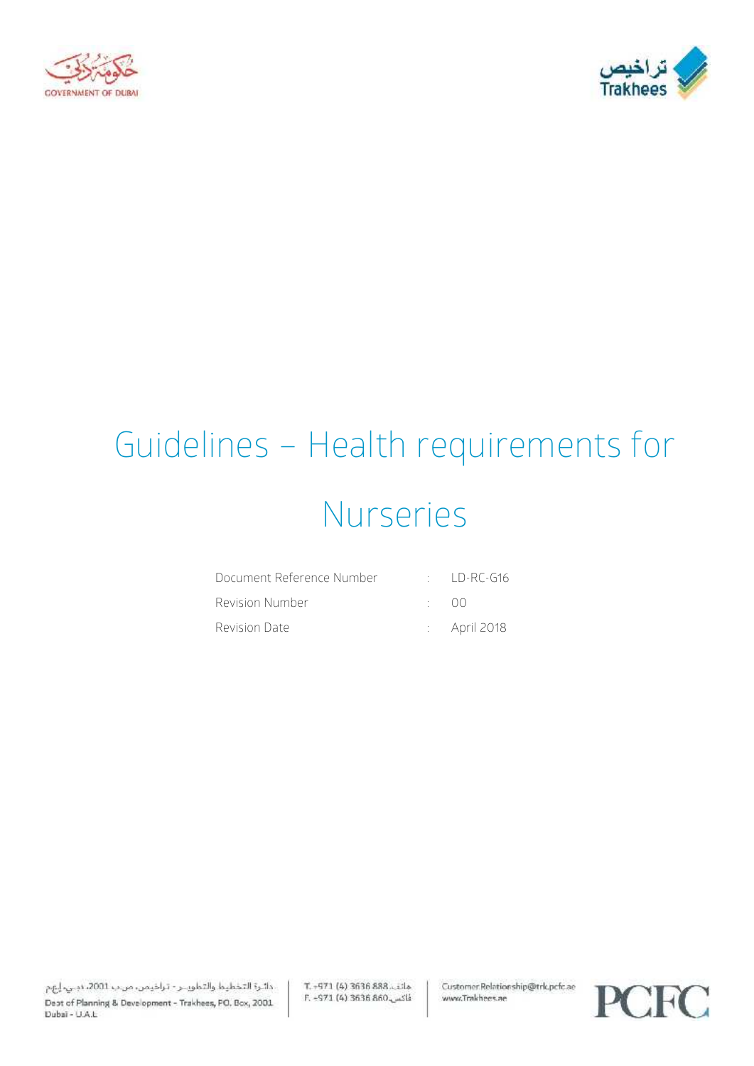



# Guidelines – Health requirements for Nurseries

| Document Reference Number | $\cdot$ ID-RC-G16       |
|---------------------------|-------------------------|
| Revision Number           | ( )()                   |
| Revision Date             | $\therefore$ April 2018 |

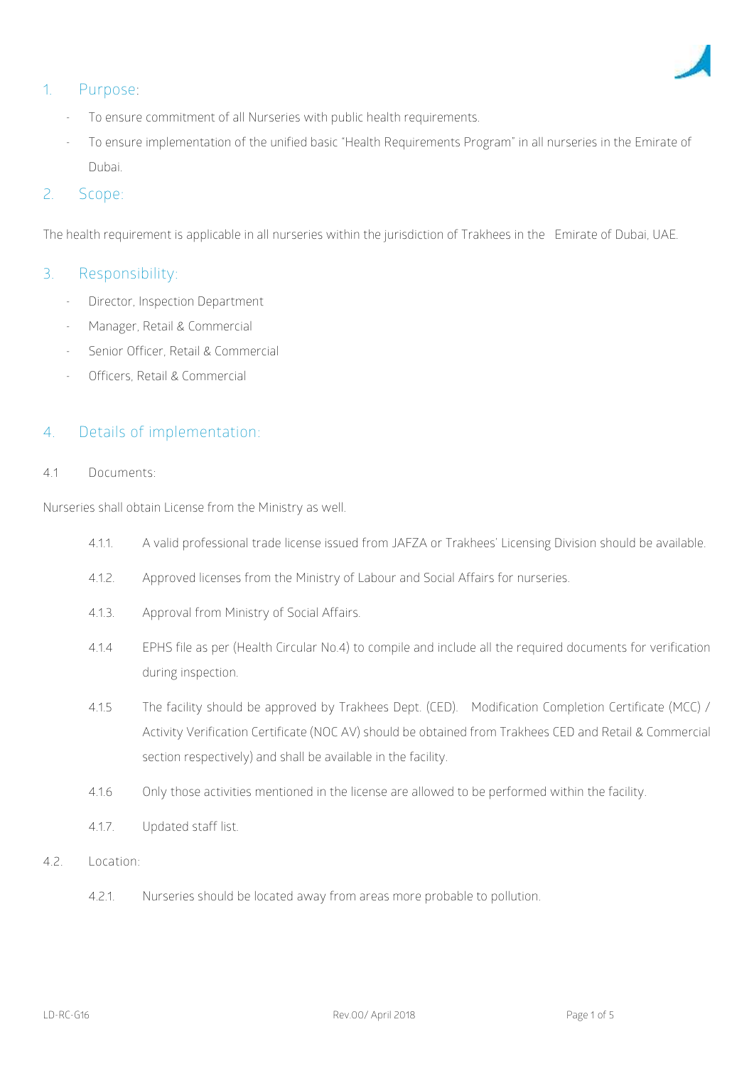

# **1. Purpose:**

- To ensure commitment of all Nurseries with public health requirements.
- To ensure implementation of the unified basic "Health Requirements Program" in all nurseries in the Emirate of Dubai.

# 2. **Scope**:

The health requirement is applicable in all nurseries within the jurisdiction of Trakhees in the Emirate of Dubai, UAE.

## **3. Responsibility:**

- Director, Inspection Department
- Manager, Retail & Commercial
- Senior Officer, Retail & Commercial
- Officers, Retail & Commercial

## **4. Details of implementation**:

#### **4.1 Documents:**

Nurseries shall obtain License from the Ministry as well.

- 4.1.1. A valid professional trade license issued from JAFZA or Trakhees' Licensing Division should be available.
- 4.1.2. Approved licenses from the Ministry of Labour and Social Affairs for nurseries.
- 4.1.3. Approval from Ministry of Social Affairs.
- 4.1.4 EPHS file as per (Health Circular No.4) to compile and include all the required documents for verification during inspection.
- 4.1.5 The facility should be approved by Trakhees Dept. (CED). Modification Completion Certificate (MCC) / Activity Verification Certificate (NOC AV) should be obtained from Trakhees CED and Retail & Commercial section respectively) and shall be available in the facility.
- 4.1.6 Only those activities mentioned in the license are allowed to be performed within the facility.
- 4.1.7. Updated staff list.
- **4.2. Location:**
	- 4.2.1. Nurseries should be located away from areas more probable to pollution.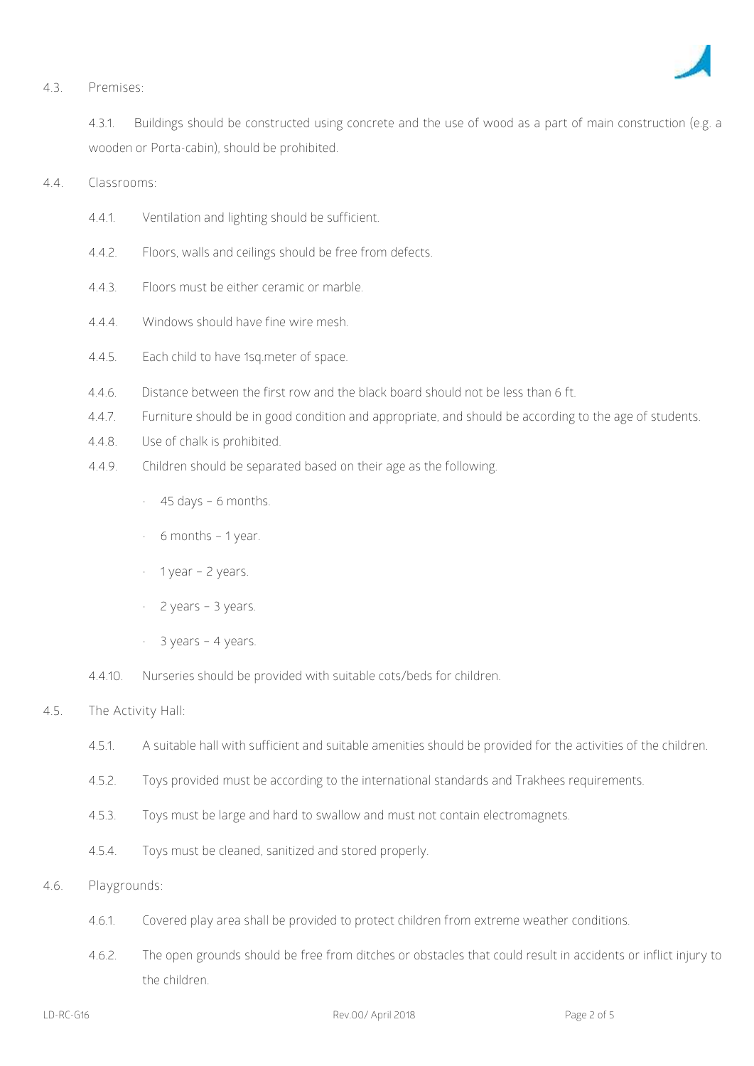

#### **4.3. Premises:**

4.3.1. Buildings should be constructed using concrete and the use of wood as a part of main construction (e.g. a wooden or Porta-cabin), should be prohibited.

**4.4. Classrooms:**

- 4.4.1. Ventilation and lighting should be sufficient.
- 4.4.2. Floors, walls and ceilings should be free from defects.
- 4.4.3. Floors must be either ceramic or marble.
- 4.4.4. Windows should have fine wire mesh.
- 4.4.5. Each child to have 1sq.meter of space.
- 4.4.6. Distance between the first row and the black board should not be less than 6 ft.
- 4.4.7. Furniture should be in good condition and appropriate, and should be according to the age of students.
- 4.4.8. Use of chalk is prohibited.
- 4.4.9. Children should be separated based on their age as the following.
	- $\cdot$  45 days 6 months.
	- $\cdot$  6 months 1 year.
	- $\cdot$  1 year 2 years.
	- 2 years 3 years.
	- 3 years 4 years.
- 4.4.10. Nurseries should be provided with suitable cots/beds for children.

### **4.5. The Activity Hall:**

- 4.5.1. A suitable hall with sufficient and suitable amenities should be provided for the activities of the children.
- 4.5.2. Toys provided must be according to the international standards and Trakhees requirements.
- 4.5.3. Toys must be large and hard to swallow and must not contain electromagnets.
- 4.5.4. Toys must be cleaned, sanitized and stored properly.
- **4.6. Playgrounds:**
	- 4.6.1. Covered play area shall be provided to protect children from extreme weather conditions.
	- 4.6.2. The open grounds should be free from ditches or obstacles that could result in accidents or inflict injury to the children.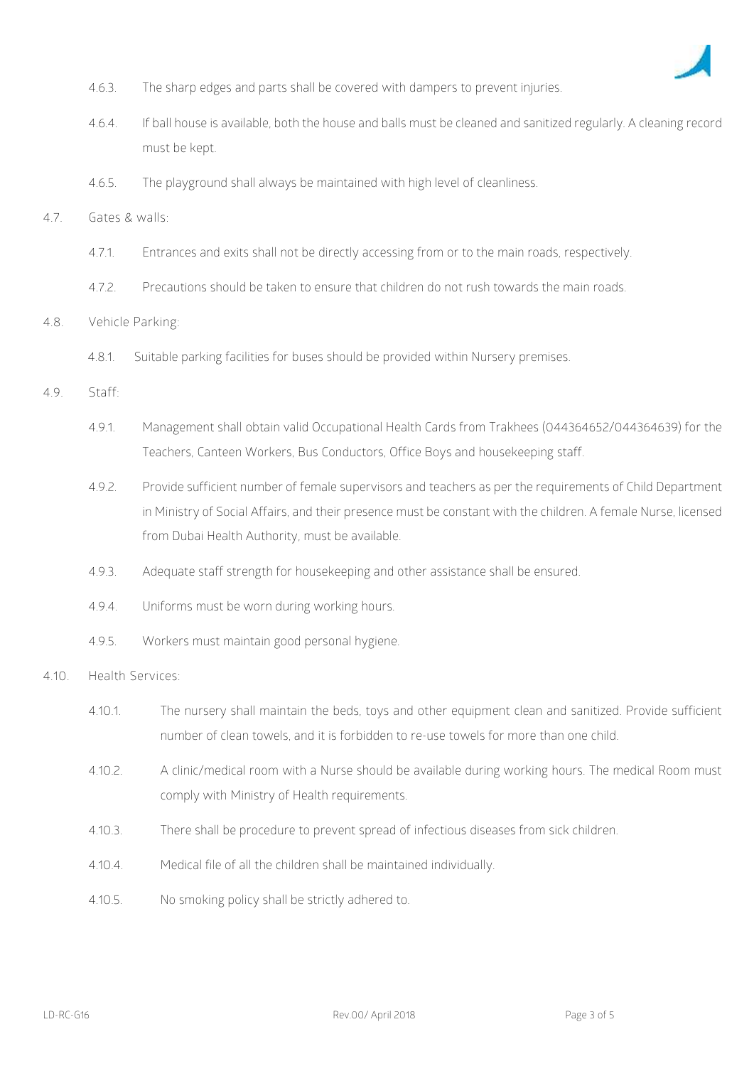

- 4.6.3. The sharp edges and parts shall be covered with dampers to prevent injuries.
- 4.6.4. If ball house is available, both the house and balls must be cleaned and sanitized regularly. A cleaning record must be kept.
- 4.6.5. The playground shall always be maintained with high level of cleanliness.
- **4.7. Gates & walls:**
	- 4.7.1. Entrances and exits shall not be directly accessing from or to the main roads, respectively.
	- 4.7.2. Precautions should be taken to ensure that children do not rush towards the main roads.
- **4.8. Vehicle Parking:**
	- 4.8.1. Suitable parking facilities for buses should be provided within Nursery premises.
- **4.9. Staff:**
	- 4.9.1. Management shall obtain valid Occupational Health Cards from Trakhees (044364652/044364639) for the Teachers, Canteen Workers, Bus Conductors, Office Boys and housekeeping staff.
	- 4.9.2. Provide sufficient number of female supervisors and teachers as per the requirements of Child Department in Ministry of Social Affairs, and their presence must be constant with the children. A female Nurse, licensed from Dubai Health Authority, must be available.
	- 4.9.3. Adequate staff strength for housekeeping and other assistance shall be ensured.
	- 4.9.4. Uniforms must be worn during working hours.
	- 4.9.5. Workers must maintain good personal hygiene.
- **4.10. Health Services:**
	- 4.10.1. The nursery shall maintain the beds, toys and other equipment clean and sanitized. Provide sufficient number of clean towels, and it is forbidden to re-use towels for more than one child.
	- 4.10.2. A clinic/medical room with a Nurse should be available during working hours. The medical Room must comply with Ministry of Health requirements.
	- 4.10.3. There shall be procedure to prevent spread of infectious diseases from sick children.
	- 4.10.4. Medical file of all the children shall be maintained individually.
	- 4.10.5. No smoking policy shall be strictly adhered to.